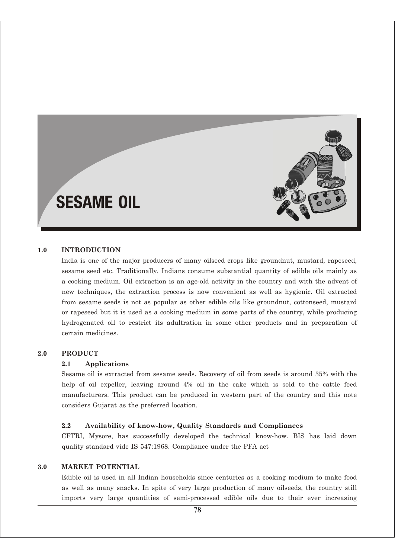# SESAME OIL

#### **1.0 INTRODUCTION**

India is one of the major producers of many oilseed crops like groundnut, mustard, rapeseed, sesame seed etc. Traditionally, Indians consume substantial quantity of edible oils mainly as a cooking medium. Oil extraction is an age-old activity in the country and with the advent of new techniques, the extraction process is now convenient as well as hygienic. Oil extracted from sesame seeds is not as popular as other edible oils like groundnut, cottonseed, mustard or rapeseed but it is used as a cooking medium in some parts of the country, while producing hydrogenated oil to restrict its adultration in some other products and in preparation of certain medicines.

#### **2.0 PRODUCT**

#### **2.1 Applications**

Sesame oil is extracted from sesame seeds. Recovery of oil from seeds is around 35% with the help of oil expeller, leaving around 4% oil in the cake which is sold to the cattle feed manufacturers. This product can be produced in western part of the country and this note considers Gujarat as the preferred location.

#### **2.2 Availability of know-how, Quality Standards and Compliances**

CFTRI, Mysore, has successfully developed the technical know-how. BIS has laid down quality standard vide IS 547:1968. Compliance under the PFA act

#### **3.0 MARKET POTENTIAL**

Edible oil is used in all Indian households since centuries as a cooking medium to make food as well as many snacks. In spite of very large production of many oilseeds, the country still imports very large quantities of semi-processed edible oils due to their ever increasing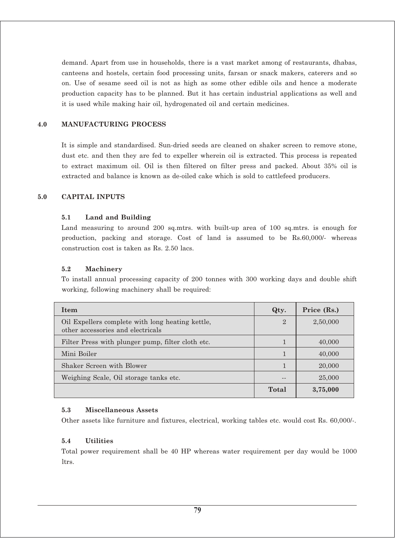demand. Apart from use in households, there is a vast market among of restaurants, dhabas, canteens and hostels, certain food processing units, farsan or snack makers, caterers and so on. Use of sesame seed oil is not as high as some other edible oils and hence a moderate production capacity has to be planned. But it has certain industrial applications as well and it is used while making hair oil, hydrogenated oil and certain medicines.

#### **4.0 MANUFACTURING PROCESS**

It is simple and standardised. Sun-dried seeds are cleaned on shaker screen to remove stone, dust etc. and then they are fed to expeller wherein oil is extracted. This process is repeated to extract maximum oil. Oil is then filtered on filter press and packed. About 35% oil is extracted and balance is known as de-oiled cake which is sold to cattlefeed producers.

#### **5.0 CAPITAL INPUTS**

#### **5.1 Land and Building**

Land measuring to around 200 sq.mtrs. with built-up area of 100 sq.mtrs. is enough for production, packing and storage. Cost of land is assumed to be Rs.60,000/- whereas construction cost is taken as Rs. 2.50 lacs.

#### **5.2 Machinery**

To install annual processing capacity of 200 tonnes with 300 working days and double shift working, following machinery shall be required:

| <b>Item</b>                                                                           | Qty.           | Price (Rs.) |
|---------------------------------------------------------------------------------------|----------------|-------------|
| Oil Expellers complete with long heating kettle,<br>other accessories and electricals | $\overline{2}$ | 2,50,000    |
| Filter Press with plunger pump, filter cloth etc.                                     |                | 40,000      |
| Mini Boiler                                                                           |                | 40,000      |
| Shaker Screen with Blower                                                             |                | 20,000      |
| Weighing Scale, Oil storage tanks etc.                                                |                | 25,000      |
|                                                                                       | Total          | 3,75,000    |

#### **5.3 Miscellaneous Assets**

Other assets like furniture and fixtures, electrical, working tables etc. would cost Rs. 60,000/-.

#### **5.4 Utilities**

Total power requirement shall be 40 HP whereas water requirement per day would be 1000 ltrs.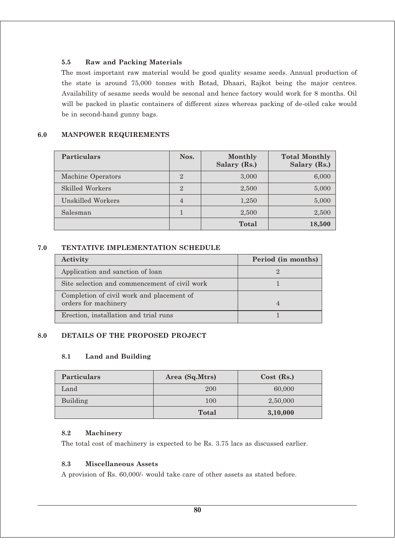## **5.5 Raw and Packing Materials**

The most important raw material would be good quality sesame seeds. Annual production of the state is around 75,000 tonnes with Botad, Dhaari, Rajkot being the major centres. Availability of sesame seeds would be sesonal and hence factory would work for 8 months. Oil will be packed in plastic containers of different sizes whereas packing of de-oiled cake would be in second-hand gunny bags.

## **6.0 MANPOWER REQUIREMENTS**

| <b>Particulars</b> | Nos.           | Monthly<br>Salary (Rs.) | <b>Total Monthly</b><br>Salary (Rs.) |
|--------------------|----------------|-------------------------|--------------------------------------|
| Machine Operators  | $\mathfrak{D}$ | 3,000                   | 6,000                                |
| Skilled Workers    | $\overline{2}$ | 2,500                   | 5,000                                |
| Unskilled Workers  | 4              | 1,250                   | 5,000                                |
| Salesman           |                | 2,500                   | 2,500                                |
|                    |                | Total                   | 18,500                               |

## **7.0 TENTATIVE IMPLEMENTATION SCHEDULE**

| Activity                                                          | Period (in months) |
|-------------------------------------------------------------------|--------------------|
| Application and sanction of loan                                  | $\mathcal{D}$      |
| Site selection and commencement of civil work                     |                    |
| Completion of civil work and placement of<br>orders for machinery | $\overline{4}$     |
| Erection, installation and trial runs                             |                    |

## **8.0 DETAILS OF THE PROPOSED PROJECT**

#### **8.1 Land and Building**

| <b>Particulars</b> | Area (Sq.Mtrs) | $Cost$ (Rs.) |  |
|--------------------|----------------|--------------|--|
| Land               | 200            | 60,000       |  |
| Building           | 100            | 2,50,000     |  |
|                    | <b>Total</b>   | 3,10,000     |  |

#### **8.2 Machinery**

The total cost of machinery is expected to be Rs. 3.75 lacs as discussed earlier.

#### **8.3 Miscellaneous Assets**

A provision of Rs. 60,000/- would take care of other assets as stated before.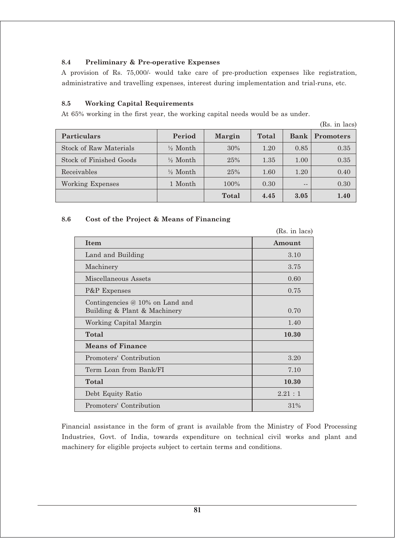## **8.4 Preliminary & Pre-operative Expenses**

A provision of Rs. 75,000/- would take care of pre-production expenses like registration, administrative and travelling expenses, interest during implementation and trial-runs, etc.

## **8.5 Working Capital Requirements**

At 65% working in the first year, the working capital needs would be as under.

(Rs. in lacs)

| <b>Particulars</b>             | Period              | <b>Margin</b> | Total | Bank  | Promoters |
|--------------------------------|---------------------|---------------|-------|-------|-----------|
| Stock of Raw Materials         | $\frac{1}{2}$ Month | 30%           | 1.20  | 0.85  | 0.35      |
| <b>Stock of Finished Goods</b> | $\frac{1}{2}$ Month | 25%           | 1.35  | 1.00  | 0.35      |
| Receivables                    | $\frac{1}{2}$ Month | 25%           | 1.60  | 1.20  | 0.40      |
| Working Expenses               | 1 Month             | 100%          | 0.30  | $- -$ | 0.30      |
|                                |                     | <b>Total</b>  | 4.45  | 3.05  | 1.40      |

#### **8.6 Cost of the Project & Means of Financing**

|                                                                   | (Rs. in lacs) |
|-------------------------------------------------------------------|---------------|
| <b>Item</b>                                                       | Amount        |
| Land and Building                                                 | 3.10          |
| Machinery                                                         | 3.75          |
| Miscellaneous Assets                                              | 0.60          |
| P&P Expenses                                                      | 0.75          |
| Contingencies $@10\%$ on Land and<br>Building & Plant & Machinery | 0.70          |
| Working Capital Margin                                            | 1.40          |
| Total                                                             | 10.30         |
| <b>Means of Finance</b>                                           |               |
| Promoters' Contribution                                           | 3.20          |
| Term Loan from Bank/FI                                            | 7.10          |
| Total                                                             | 10.30         |
| Debt Equity Ratio                                                 | 2.21:1        |
| Promoters' Contribution                                           | 31%           |

Financial assistance in the form of grant is available from the Ministry of Food Processing Industries, Govt. of India, towards expenditure on technical civil works and plant and machinery for eligible projects subject to certain terms and conditions.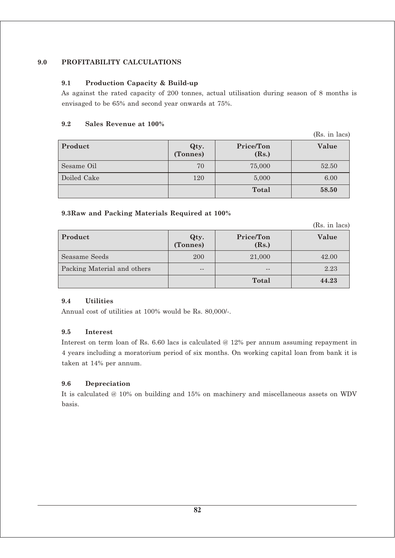## **9.0 PROFITABILITY CALCULATIONS**

#### **9.1 Production Capacity & Build-up**

As against the rated capacity of 200 tonnes, actual utilisation during season of 8 months is envisaged to be 65% and second year onwards at 75%.

#### **9.2 Sales Revenue at 100%**

|             |                  |                    | (Rs. in lacs) |
|-------------|------------------|--------------------|---------------|
| Product     | Qty.<br>(Tonnes) | Price/Ton<br>(Rs.) | Value         |
| Sesame Oil  | 70               | 75,000             | 52.50         |
| Doiled Cake | 120              | 5,000              | 6.00          |
|             |                  | <b>Total</b>       | 58.50         |

#### **9.3Raw and Packing Materials Required at 100%**

(Rs. in lacs)

| <b>Product</b>                     | Qty.<br>(Tonnes) | Price/Ton<br>(Rs.) | Value |
|------------------------------------|------------------|--------------------|-------|
| Seasame Seeds                      | 200              | 21,000             | 42.00 |
| <b>Packing Material and others</b> | $- -$            | $- -$              | 2.23  |
|                                    |                  | Total              | 44.23 |

#### **9.4 Utilities**

Annual cost of utilities at 100% would be Rs. 80,000/-.

#### **9.5 Interest**

Interest on term loan of Rs. 6.60 lacs is calculated @ 12% per annum assuming repayment in 4 years including a moratorium period of six months. On working capital loan from bank it is taken at 14% per annum.

#### **9.6 Depreciation**

It is calculated @ 10% on building and 15% on machinery and miscellaneous assets on WDV basis.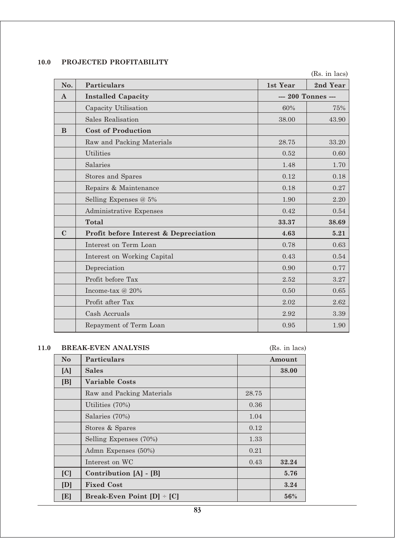# **10.0 PROJECTED PROFITABILITY**

|              |                                       |                    | (Rs. in lacs) |
|--------------|---------------------------------------|--------------------|---------------|
| No.          | Particulars                           | 1st Year           | 2nd Year      |
| $\mathbf{A}$ | <b>Installed Capacity</b>             | --- 200 Tonnes --- |               |
|              | Capacity Utilisation                  | 60%                | 75%           |
|              | Sales Realisation                     | 38.00              | 43.90         |
| B            | <b>Cost of Production</b>             |                    |               |
|              | Raw and Packing Materials             | 28.75              | 33.20         |
|              | <b>Utilities</b>                      | 0.52               | 0.60          |
|              | Salaries                              | 1.48               | 1.70          |
|              | Stores and Spares                     | 0.12               | 0.18          |
|              | Repairs & Maintenance                 | 0.18               | 0.27          |
|              | Selling Expenses @ 5%                 | 1.90               | 2.20          |
|              | Administrative Expenses               | 0.42               | 0.54          |
|              | <b>Total</b>                          | 33.37              | 38.69         |
| $\mathbf C$  | Profit before Interest & Depreciation | 4.63               | 5.21          |
|              | Interest on Term Loan                 | 0.78               | 0.63          |
|              | Interest on Working Capital           | 0.43               | 0.54          |
|              | Depreciation                          | 0.90               | 0.77          |
|              | Profit before Tax                     | 2.52               | 3.27          |
|              | Income-tax @ 20%                      | 0.50               | 0.65          |
|              | Profit after Tax                      | 2.02               | 2.62          |
|              | Cash Accruals                         | 2.92               | 3.39          |
|              | Repayment of Term Loan                | 0.95               | 1.90          |

#### **11.0 BREAK-EVEN ANALYSIS** (Rs. in lacs)

| N <sub>o</sub> | <b>Particulars</b>             | Amount |       |
|----------------|--------------------------------|--------|-------|
| [A]            | <b>Sales</b>                   |        | 38.00 |
| [B]            | <b>Variable Costs</b>          |        |       |
|                | Raw and Packing Materials      | 28.75  |       |
|                | Utilities (70%)                | 0.36   |       |
|                | Salaries (70%)                 | 1.04   |       |
|                | Stores & Spares                | 0.12   |       |
|                | Selling Expenses (70%)         | 1.33   |       |
|                | Admn Expenses (50%)            | 0.21   |       |
|                | Interest on WC                 | 0.43   | 32.24 |
| [C]            | Contribution [A] - [B]         |        | 5.76  |
| [D]            | <b>Fixed Cost</b>              |        | 3.24  |
| [E]            | Break-Even Point $[D]$ + $[C]$ |        | 56%   |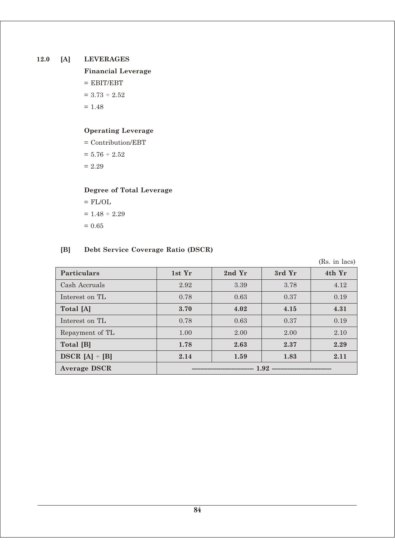## **12.0 [A] LEVERAGES**

**Financial Leverage**

 $=$  EBIT/EBT

 $= 3.73 \div 2.52$ 

 $= 1.48$ 

### **Operating Leverage**

 $=$  Contribution/EBT  $\,$  $= 5.76 \div 2.52$  $= 2.29$ 

# **Degree of Total Leverage**

$$
= FL/OL
$$

$$
= 1.48 \div 2.29
$$

$$
= 0.65
$$

## **[B] Debt Service Coverage Ratio (DSCR)**

(Rs. in lacs)

| <b>Particulars</b>  | 1st Yr | 2nd Yr | 3rd Yr | 4th Yr |
|---------------------|--------|--------|--------|--------|
| Cash Accruals       | 2.92   | 3.39   | 3.78   | 4.12   |
| Interest on TL      | 0.78   | 0.63   | 0.37   | 0.19   |
| Total [A]           | 3.70   | 4.02   | 4.15   | 4.31   |
| Interest on TL      | 0.78   | 0.63   | 0.37   | 0.19   |
| Repayment of TL     | 1.00   | 2.00   | 2.00   | 2.10   |
| Total [B]           | 1.78   | 2.63   | 2.37   | 2.29   |
| $DSCR [A] \div [B]$ | 2.14   | 1.59   | 1.83   | 2.11   |
| <b>Average DSCR</b> |        |        |        |        |